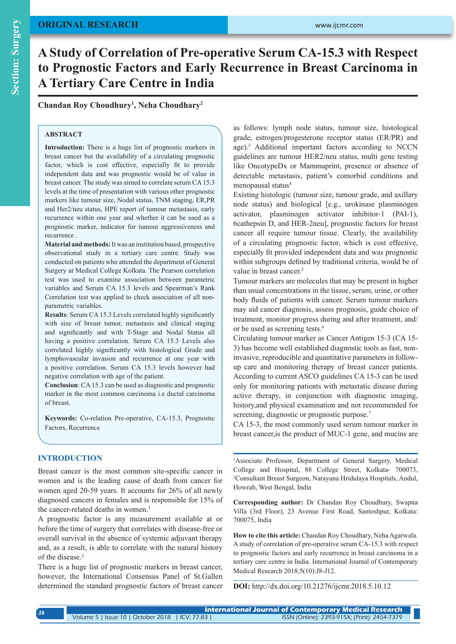# **ORIGINAL RESEARCH**

# **Section: Surgery Section: Surgery**

# **A Study of Correlation of Pre-operative Serum CA-15.3 with Respect to Prognostic Factors and Early Recurrence in Breast Carcinoma in A Tertiary Care Centre in India**

**Chandan Roy Choudhury1 , Neha Choudhary2**

# **ABSTRACT**

**Introduction:** There is a huge list of prognostic markers in breast cancer but the availability of a circulating prognostic factor, which is cost effective, especially fit to provide independent data and was prognostic would be of value in breast cancer. The study was aimed to correlate serum CA 15.3 levels at the time of presentation with various other prognostic markers like tumour size, Nodal status, TNM staging, ER,PR and Her2/neu status, HPE report of tumour metastasis, early recurrence within one year and whether it can be used as a prognostic marker, indicator for tumour aggressiveness and recurrence .

**Material and methods:** It was an institution based, prospective observational study in a tertiary care centre. Study was conducted on patients who attended the department of General Surgery at Medical College Kolkata. The Pearson correlation test was used to examine association between parametric variables and Serum CA 15.3 levels and Spearman's Rank Correlation test was applied to check association of all nonparametric variables.

**Results**: Serum CA 15.3 Levels correlated highly significantly with size of breast tumor, metastasis and clinical staging and significantly and with T-Stage and Nodal Status all having a positive correlation. Serum CA 15.3 Levels also correlated highly significantly with histological Grade and lymphovascular invasion and recurrence at one year with a positive correlation. Serum CA 15.3 levels however had negative correlation with age of the patient.

**Conclusion**: CA 15.3 can be used as diagnostic and prognostic marker in the most common carcinoma i.e ductal carcinoma of breast.

**Keywords:** Co-relation Pre-operative, CA-15.3, Prognostic Factors, Recurrence

## **INTRODUCTION**

Breast cancer is the most common site-specific cancer in women and is the leading cause of death from cancer for women aged 20-59 years. It accounts for 26% of all newly diagnosed cancers in females and is responsible for 15% of the cancer-related deaths in women.<sup>1</sup>

A prognostic factor is any measurement available at or before the time of surgery that correlates with disease-free or overall survival in the absence of systemic adjuvant therapy and, as a result, is able to correlate with the natural history of the disease.<sup>2</sup>

There is a huge list of prognostic markers in breast cancer, however, the International Consensus Panel of St.Gallen determined the standard prognostic factors of breast cancer as follows: lymph node status, tumour size, histological grade, estrogen/progesterone receptor status (ER/PR) and age).3 Additional important factors according to NCCN guidelines are tumour HER2/neu status, multi gene testing like OncotypeDx or Mammaprint, presence or absence of detectable metastasis, patient's comorbid conditions and menopausal status<sup>4</sup>

Existing histologic (tumour size, tumour grade, and axillary node status) and biological [e.g., urokinase plasminogen activator, plasminogen activator inhibitor-1 (PAI-1), 6cathepsin D, and HER-2neu], prognostic factors for breast cancer all require tumour tissue. Clearly, the availability of a circulating prognostic factor, which is cost effective, especially fit provided independent data and was prognostic within subgroups defined by traditional criteria, would be of value in breast cancer.<sup>5</sup>

Tumour markers are molecules that may be present in higher than usual concentrations in the tissue, serum, urine, or other body fluids of patients with cancer. Serum tumour markers may aid cancer diagnosis, assess prognosis, guide choice of treatment, monitor progress during and after treatment, and/ or be used as screening tests.<sup>6</sup>

Circulating tumour marker as Cancer Antigen 15-3 (CA 15- 3) has become well established diagnostic tools as fast, noninvasive, reproducible and quantitative parameters in followup care and monitoring therapy of breast cancer patients. According to current ASCO guidelines CA 15-3 can be used only for monitoring patients with metastatic disease during active therapy, in conjunction with diagnostic imaging, history,and physical examination and not recommended for screening, diagnostic or prognostic purpose.<sup>7</sup>

CA 15-3, the most commonly used serum tumour marker in breast cancer,is the product of MUC-1 gene, and mucins are

<sup>1</sup>Associate Professor, Department of General Surgery, Medical College and Hospital, 88 College Street, Kolkata- 700073, 2 Consultant Breast Surgeon, Narayana Hridulaya Hospitals, Andul, Howrah, West Bengal, India

**Corresponding author:** Dr Chandan Roy Choudhury, Swapna Villa (3rd Floor), 23 Avenue First Road, Santoshpur, Kolkata: 700075, India

**How to cite this article:** Chandan Roy Choudhary, Neha Agarwala. A study of correlation of pre-operative serum CA-15.3 with respect to prognostic factors and early recurrence in breast carcinoma in a tertiary care centre in India. International Journal of Contemporary Medical Research 2018;5(10):J8-J12.

**DOI:** http://dx.doi.org/10.21276/ijcmr.2018.5.10.12

| J8. | <b>International Journal of Contemporary Medical Research</b> |  |                                              |  |  |
|-----|---------------------------------------------------------------|--|----------------------------------------------|--|--|
|     | Volume 5   Issue 10   October 2018   ICV: 77.83               |  | ISSN (Online): 2393-915X; (Print): 2454-7379 |  |  |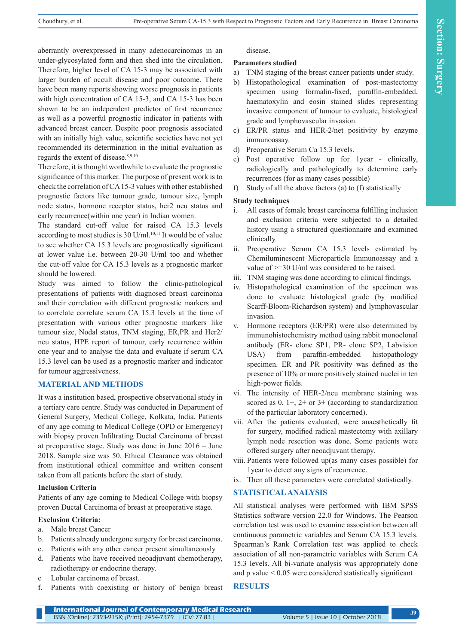aberrantly overexpressed in many adenocarcinomas in an under-glycosylated form and then shed into the circulation. Therefore, higher level of CA 15-3 may be associated with larger burden of occult disease and poor outcome. There have been many reports showing worse prognosis in patients with high concentration of CA 15-3, and CA 15-3 has been shown to be an independent predictor of first recurrence as well as a powerful prognostic indicator in patients with advanced breast cancer. Despite poor prognosis associated with an initially high value, scientific societies have not yet recommended its determination in the initial evaluation as regards the extent of disease.8,9,10

Therefore, it is thought worthwhile to evaluate the prognostic significance of this marker. The purpose of present work is to check the correlation of CA 15-3 values with other established prognostic factors like tumour grade, tumour size, lymph node status, hormone receptor status, her2 neu status and early recurrence(within one year) in Indian women.

The standard cut-off value for raised CA 15.3 levels according to most studies is 30  $U/ml$ .<sup>10,11</sup> It would be of value to see whether CA 15.3 levels are prognostically significant at lower value i.e. between 20-30 U/ml too and whether the cut-off value for CA 15.3 levels as a prognostic marker should be lowered.

Study was aimed to follow the clinic-pathological presentations of patients with diagnosed breast carcinoma and their correlation with different prognostic markers and to correlate correlate serum CA 15.3 levels at the time of presentation with various other prognostic markers like tumour size, Nodal status, TNM staging, ER,PR and Her2/ neu status, HPE report of tumour, early recurrence within one year and to analyse the data and evaluate if serum CA 15.3 level can be used as a prognostic marker and indicator for tumour aggressiveness.

# **MATERIAL AND METHODS**

It was a institution based, prospective observational study in a tertiary care centre. Study was conducted in Department of General Surgery, Medical College, Kolkata, India. Patients of any age coming to Medical College (OPD or Emergency) with biopsy proven Infiltrating Ductal Carcinoma of breast at preoperative stage. Study was done in June 2016 – June 2018. Sample size was 50. Ethical Clearance was obtained from institutional ethical committee and written consent taken from all patients before the start of study.

#### **Inclusion Criteria**

Patients of any age coming to Medical College with biopsy proven Ductal Carcinoma of breast at preoperative stage.

#### **Exclusion Criteria:**

- a. Male breast Cancer
- b. Patients already undergone surgery for breast carcinoma.
- c. Patients with any other cancer present simultaneously.
- d. Patients who have received neoadjuvant chemotherapy, radiotherapy or endocrine therapy.
- e Lobular carcinoma of breast.
- f. Patients with coexisting or history of benign breast

disease.

# **Parameters studied**

- a) TNM staging of the breast cancer patients under study.
- b) Histopathological examination of post-mastectomy specimen using formalin-fixed, paraffin-embedded, haematoxylin and eosin stained slides representing invasive component of tumour to evaluate, histological grade and lymphovascular invasion.
- c) ER/PR status and HER-2/net positivity by enzyme immunoassay.
- d) Preoperative Serum Ca 15.3 levels.
- e) Post operative follow up for 1year clinically, radiologically and pathologically to determine early recurrences (for as many cases possible)
- f) Study of all the above factors (a) to (f) statistically

### **Study techniques**

- i. All cases of female breast carcinoma fulfilling inclusion and exclusion criteria were subjected to a detailed history using a structured questionnaire and examined clinically.
- ii. Preoperative Serum CA 15.3 levels estimated by Chemiluminescent Microparticle Immunoassay and a value of >=30 U/ml was considered to be raised.
- iii. TNM staging was done according to clinical findings.
- iv. Histopathological examination of the specimen was done to evaluate histological grade (by modified Scarff-Bloom-Richardson system) and lymphovascular invasion.
- v. Hormone receptors (ER/PR) were also determined by immunohistochemistry method using rabbit monoclonal antibody (ER- clone SP1, PR- clone SP2, Labvision USA) from paraffin-embedded histopathology specimen. ER and PR positivity was defined as the presence of 10% or more positively stained nuclei in ten high-power fields.
- vi. The intensity of HER-2/neu membrane staining was scored as  $0$ ,  $1+$ ,  $2+$  or  $3+$  (according to standardization of the particular laboratory concerned).
- vii. After the patients evaluated, were anaesthetically fit for surgery, modified radical mastectomy with axillary lymph node resection was done. Some patients were offered surgery after neoadjuvant therapy.
- viii. Patients were followed up(as many cases possible) for 1year to detect any signs of recurrence.
- ix. Then all these parameters were correlated statistically.

# **STATISTICAL ANALYSIS**

All statistical analyses were performed with IBM SPSS Statistics software version 22.0 for Windows. The Pearson correlation test was used to examine association between all continuous parametric variables and Serum CA 15.3 levels. Spearman's Rank Correlation test was applied to check association of all non-parametric variables with Serum CA 15.3 levels. All bi-variate analysis was appropriately done and  $p$  value  $\leq 0.05$  were considered statistically significant

# **RESULTS**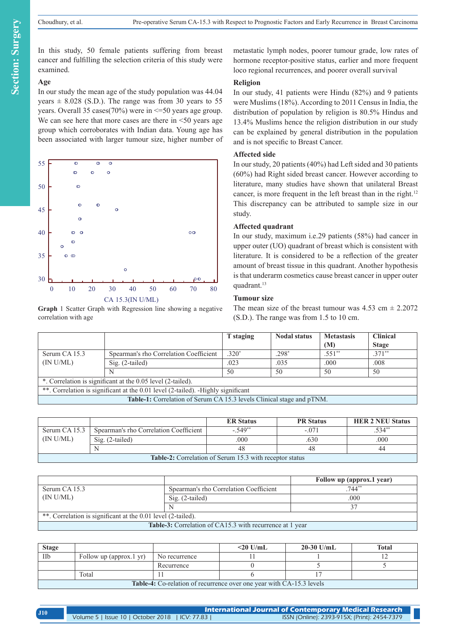In this study, 50 female patients suffering from breast cancer and fulfilling the selection criteria of this study were examined.

# **Age**

In our study the mean age of the study population was 44.04 years  $\pm$  8.028 (S.D.). The range was from 30 years to 55 years. Overall 35 cases(70%) were in <=50 years age group. We can see here that more cases are there in  $\leq 50$  years age group which corroborates with Indian data. Young age has been associated with larger tumour size, higher number of



**Graph** 1 Scatter Graph with Regression line showing a negative correlation with age

metastatic lymph nodes, poorer tumour grade, low rates of hormone receptor-positive status, earlier and more frequent loco regional recurrences, and poorer overall survival

#### **Religion**

In our study, 41 patients were Hindu (82%) and 9 patients were Muslims (18%). According to 2011 Census in India, the distribution of population by religion is 80.5% Hindus and 13.4% Muslims hence the religion distribution in our study can be explained by general distribution in the population and is not specific to Breast Cancer.

#### **Affected side**

In our study, 20 patients (40%) had Left sided and 30 patients (60%) had Right sided breast cancer. However according to literature, many studies have shown that unilateral Breast cancer, is more frequent in the left breast than in the right.<sup>12</sup> This discrepancy can be attributed to sample size in our study.

#### **Affected quadrant**

In our study, maximum i.e.29 patients (58%) had cancer in upper outer (UO) quadrant of breast which is consistent with literature. It is considered to be a reflection of the greater amount of breast tissue in this quadrant. Another hypothesis is that underarm cosmetics cause breast cancer in upper outer quadrant.<sup>13</sup>

#### **Tumour size**

The mean size of the breast tumour was  $4.53 \text{ cm} \pm 2.2072$ (S.D.). The range was from 1.5 to 10 cm.

|                                                                                  |                                        | T staging | <b>Nodal status</b> | <b>Metastasis</b><br>(M) | <b>Clinical</b><br><b>Stage</b> |  |
|----------------------------------------------------------------------------------|----------------------------------------|-----------|---------------------|--------------------------|---------------------------------|--|
| Serum CA 15.3                                                                    | Spearman's rho Correlation Coefficient | $.320*$   | $.298*$             | $.551**$                 | $.371**$                        |  |
| (IN U/ML)                                                                        | $Sig. (2-tailed)$                      | .023      | .035                | .000                     | .008                            |  |
|                                                                                  | N                                      | 50        | 50                  | 50                       | .50                             |  |
| *. Correlation is significant at the 0.05 level (2-tailed).                      |                                        |           |                     |                          |                                 |  |
| **. Correlation is significant at the 0.01 level (2-tailed). -Highly significant |                                        |           |                     |                          |                                 |  |
| <b>Table-1:</b> Correlation of Serum CA 15.3 levels Clinical stage and pTNM.     |                                        |           |                     |                          |                                 |  |

|                                                                |                                        | <b>ER Status</b> | <b>PR</b> Status | <b>HER 2 NEU Status</b> |
|----------------------------------------------------------------|----------------------------------------|------------------|------------------|-------------------------|
| Serum CA 15.3                                                  | Spearman's rho Correlation Coefficient | $-549**$         | $-.071$          | 534"                    |
| (IN U/ML)                                                      | $\text{Sig.}$ (2-tailed)               | .000             | .630             | .000                    |
|                                                                |                                        | 48               | 48               | 44                      |
| <b>Table-2:</b> Correlation of Serum 15.3 with receptor status |                                        |                  |                  |                         |

|                                                              |                                        | Follow up (approx.1 year) |  |  |
|--------------------------------------------------------------|----------------------------------------|---------------------------|--|--|
| Serum CA 15.3                                                | Spearman's rho Correlation Coefficient | $744**$                   |  |  |
| (N U/ML)                                                     | Sig. (2-tailed)                        | .000                      |  |  |
|                                                              |                                        | 37                        |  |  |
| **. Correlation is significant at the 0.01 level (2-tailed). |                                        |                           |  |  |
| Table-3: Correlation of CA15.3 with recurrence at 1 year     |                                        |                           |  |  |

| <b>Stage</b>                                                                |                         |               | $<$ 20 U/mL | $20-30$ U/mL | <b>Total</b> |
|-----------------------------------------------------------------------------|-------------------------|---------------|-------------|--------------|--------------|
| IIb                                                                         | Follow up (approx.1 yr) | No recurrence |             |              |              |
|                                                                             |                         | Recurrence    |             |              |              |
|                                                                             | Total                   |               |             |              |              |
| <b>Table-4:</b> Co-relation of recurrence over one year with CA-15.3 levels |                         |               |             |              |              |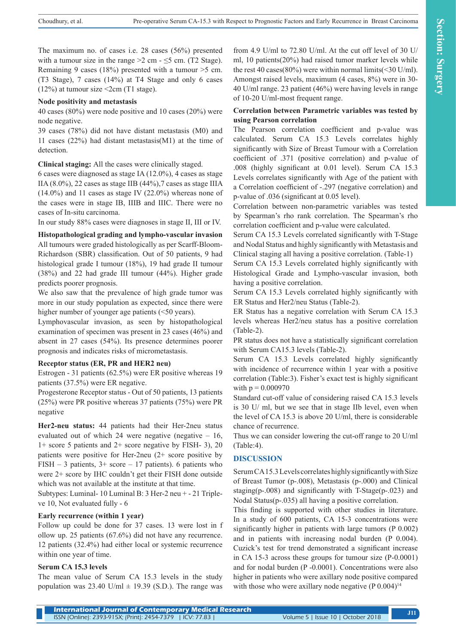The maximum no. of cases i.e. 28 cases (56%) presented with a tumour size in the range  $>2$  cm -  $\leq$ 5 cm. (T2 Stage). Remaining 9 cases (18%) presented with a tumour >5 cm. (T3 Stage), 7 cases (14%) at T4 Stage and only 6 cases  $(12\%)$  at tumour size <2cm (T1 stage).

#### **Node positivity and metastasis**

40 cases (80%) were node positive and 10 cases (20%) were node negative.

39 cases (78%) did not have distant metastasis (M0) and 11 cases (22%) had distant metastasis(M1) at the time of detection.

**Clinical staging:** All the cases were clinically staged.

6 cases were diagnosed as stage IA (12.0%), 4 cases as stage IIA  $(8.0\%)$ , 22 cases as stage IIB  $(44\%)$ , 7 cases as stage IIIA  $(14.0\%)$  and 11 cases as stage IV  $(22.0\%)$  whereas none of the cases were in stage IB, IIIB and IIIC. There were no cases of In-situ carcinoma.

In our study 88% cases were diagnoses in stage II, III or IV.

**Histopathological grading and lympho-vascular invasion**

All tumours were graded histologically as per Scarff-Bloom-Richardson (SBR) classification. Out of 50 patients, 9 had histological grade I tumour (18%), 19 had grade II tumour (38%) and 22 had grade III tumour (44%). Higher grade predicts poorer prognosis.

We also saw that the prevalence of high grade tumor was more in our study population as expected, since there were higher number of younger age patients (<50 years).

Lymphovascular invasion, as seen by histopathological examination of specimen was present in 23 cases (46%) and absent in 27 cases (54%). Its presence determines poorer prognosis and indicates risks of micrometastasis.

# **Receptor status (ER, PR and HER2 neu)**

Estrogen - 31 patients (62.5%) were ER positive whereas 19 patients (37.5%) were ER negative.

Progesterone Receptor status - Out of 50 patients, 13 patients (25%) were PR positive whereas 37 patients (75%) were PR negative

**Her2-neu status:** 44 patients had their Her-2neu status evaluated out of which 24 were negative (negative  $-16$ , 1+ score 5 patients and 2+ score negative by FISH- 3), 20 patients were positive for Her-2neu (2+ score positive by FISH – 3 patients,  $3+$  score – 17 patients). 6 patients who were 2+ score by IHC couldn't get their FISH done outside which was not available at the institute at that time.

Subtypes: Luminal- 10 Luminal B: 3 Her-2 neu + - 21 Tripleve 10, Not evaluated fully - 6

# **Early recurrence (within 1 year)**

Follow up could be done for 37 cases. 13 were lost in f ollow up. 25 patients (67.6%) did not have any recurrence. 12 patients (32.4%) had either local or systemic recurrence within one year of time.

# **Serum CA 15.3 levels**

The mean value of Serum CA 15.3 levels in the study population was 23.40 U/ml  $\pm$  19.39 (S.D.). The range was

from 4.9 U/ml to 72.80 U/ml. At the cut off level of 30 U/ ml, 10 patients(20%) had raised tumor marker levels while the rest 40 cases(80%) were within normal limits(<30 U/ml). Amongst raised levels, maximum (4 cases, 8%) were in 30- 40 U/ml range. 23 patient (46%) were having levels in range of 10-20 U/ml-most frequent range.

# **Correlation between Parametric variables was tested by using Pearson correlation**

The Pearson correlation coefficient and p-value was calculated. Serum CA 15.3 Levels correlates highly significantly with Size of Breast Tumour with a Correlation coefficient of .371 (positive correlation) and p-value of .008 (highly significant at 0.01 level). Serum CA 15.3 Levels correlates significantly with Age of the patient with a Correlation coefficient of -.297 (negative correlation) and p-value of .036 (significant at 0.05 level).

Correlation between non-parametric variables was tested by Spearman's rho rank correlation. The Spearman's rho correlation coefficient and p-value were calculated.

Serum CA 15.3 Levels correlated significantly with T-Stage and Nodal Status and highly significantly with Metastasis and Clinical staging all having a positive correlation. (Table-1)

Serum CA 15.3 Levels correlated highly significantly with Histological Grade and Lympho-vascular invasion, both having a positive correlation.

Serum CA 15.3 Levels correlated highly significantly with ER Status and Her2/neu Status (Table-2).

ER Status has a negative correlation with Serum CA 15.3 levels whereas Her2/neu status has a positive correlation (Table-2).

PR status does not have a statistically significant correlation with Serum CA15.3 levels (Table-2).

Serum CA 15.3 Levels correlated highly significantly with incidence of recurrence within 1 year with a positive correlation (Table:3). Fisher's exact test is highly significant with  $p = 0.000970$ 

Standard cut-off value of considering raised CA 15.3 levels is 30 U/ ml, but we see that in stage IIb level, even when the level of CA 15.3 is above 20 U/ml, there is considerable chance of recurrence.

Thus we can consider lowering the cut-off range to 20 U/ml (Table:4).

# **DISCUSSION**

Serum CA 15.3 Levels correlates highly significantly with Size of Breast Tumor (p-.008), Metastasis (p-.000) and Clinical staging(p-.008) and significantly with T-Stage(p-.023) and Nodal Status(p-.035) all having a positive correlation.

This finding is supported with other studies in literature. In a study of 600 patients, CA 15-3 concentrations were significantly higher in patients with large tumors (P 0.002) and in patients with increasing nodal burden (P 0.004). Cuzick's test for trend demonstrated a significant increase in CA 15-3 across these groups for tumour size (P-0.0001) and for nodal burden (P -0.0001). Concentrations were also higher in patients who were axillary node positive compared with those who were axillary node negative  $(P 0.004)^{14}$